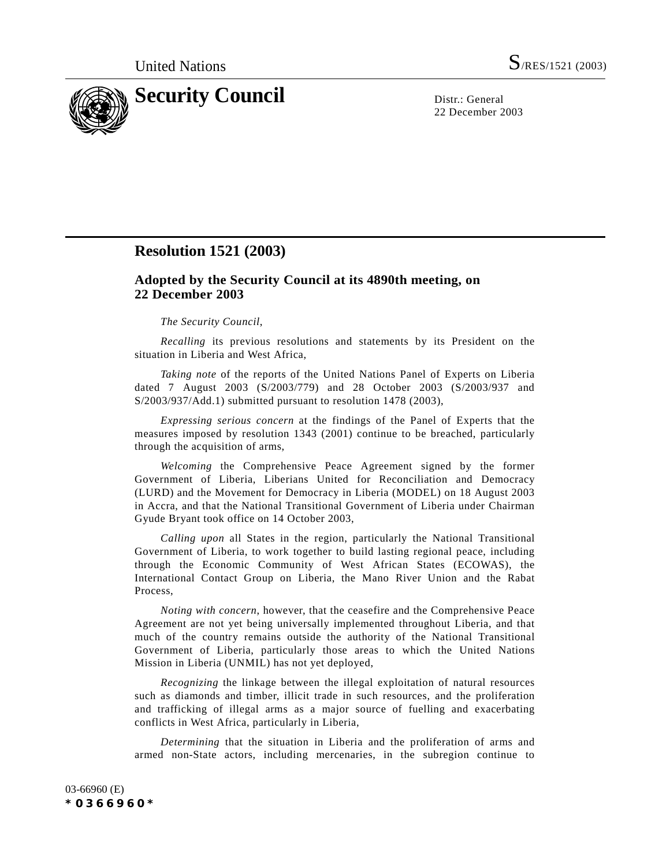

22 December 2003

# **Resolution 1521 (2003)**

## **Adopted by the Security Council at its 4890th meeting, on 22 December 2003**

#### *The Security Council*,

*Recalling* its previous resolutions and statements by its President on the situation in Liberia and West Africa,

*Taking note* of the reports of the United Nations Panel of Experts on Liberia dated 7 August 2003 (S/2003/779) and 28 October 2003 (S/2003/937 and S/2003/937/Add.1) submitted pursuant to resolution 1478 (2003),

*Expressing serious concern* at the findings of the Panel of Experts that the measures imposed by resolution 1343 (2001) continue to be breached, particularly through the acquisition of arms,

*Welcoming* the Comprehensive Peace Agreement signed by the former Government of Liberia, Liberians United for Reconciliation and Democracy (LURD) and the Movement for Democracy in Liberia (MODEL) on 18 August 2003 in Accra, and that the National Transitional Government of Liberia under Chairman Gyude Bryant took office on 14 October 2003,

*Calling upon* all States in the region, particularly the National Transitional Government of Liberia, to work together to build lasting regional peace, including through the Economic Community of West African States (ECOWAS), the International Contact Group on Liberia, the Mano River Union and the Rabat Process,

*Noting with concern*, however, that the ceasefire and the Comprehensive Peace Agreement are not yet being universally implemented throughout Liberia, and that much of the country remains outside the authority of the National Transitional Government of Liberia, particularly those areas to which the United Nations Mission in Liberia (UNMIL) has not yet deployed,

*Recognizing* the linkage between the illegal exploitation of natural resources such as diamonds and timber, illicit trade in such resources, and the proliferation and trafficking of illegal arms as a major source of fuelling and exacerbating conflicts in West Africa, particularly in Liberia,

*Determining* that the situation in Liberia and the proliferation of arms and armed non-State actors, including mercenaries, in the subregion continue to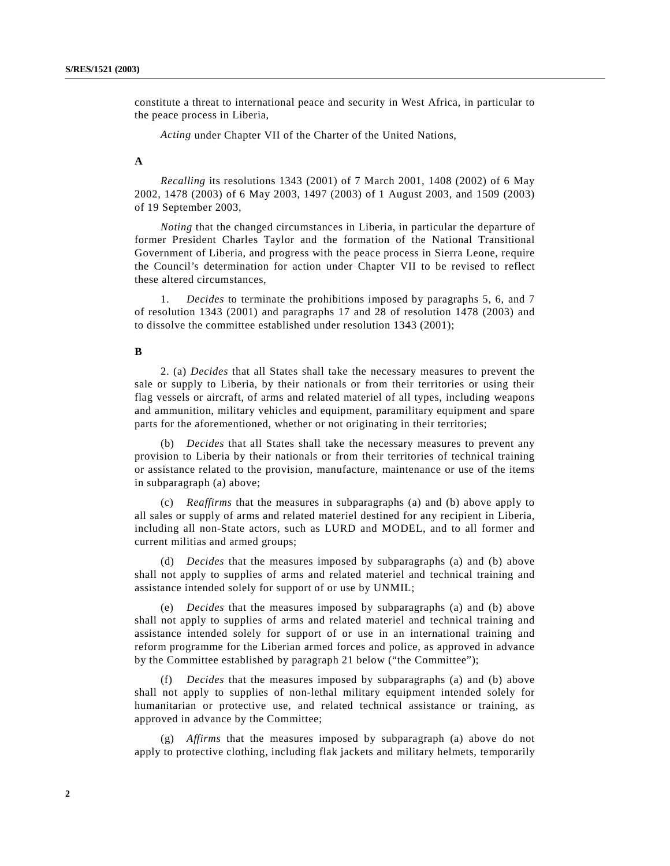constitute a threat to international peace and security in West Africa, in particular to the peace process in Liberia,

*Acting* under Chapter VII of the Charter of the United Nations,

### **A**

*Recalling* its resolutions 1343 (2001) of 7 March 2001, 1408 (2002) of 6 May 2002, 1478 (2003) of 6 May 2003, 1497 (2003) of 1 August 2003, and 1509 (2003) of 19 September 2003,

*Noting* that the changed circumstances in Liberia, in particular the departure of former President Charles Taylor and the formation of the National Transitional Government of Liberia, and progress with the peace process in Sierra Leone, require the Council's determination for action under Chapter VII to be revised to reflect these altered circumstances,

1. *Decides* to terminate the prohibitions imposed by paragraphs 5, 6, and 7 of resolution 1343 (2001) and paragraphs 17 and 28 of resolution 1478 (2003) and to dissolve the committee established under resolution 1343 (2001);

#### **B**

2. (a) *Decides* that all States shall take the necessary measures to prevent the sale or supply to Liberia, by their nationals or from their territories or using their flag vessels or aircraft, of arms and related materiel of all types, including weapons and ammunition, military vehicles and equipment, paramilitary equipment and spare parts for the aforementioned, whether or not originating in their territories;

(b) *Decides* that all States shall take the necessary measures to prevent any provision to Liberia by their nationals or from their territories of technical training or assistance related to the provision, manufacture, maintenance or use of the items in subparagraph (a) above;

(c) *Reaffirms* that the measures in subparagraphs (a) and (b) above apply to all sales or supply of arms and related materiel destined for any recipient in Liberia, including all non-State actors, such as LURD and MODEL, and to all former and current militias and armed groups;

(d) *Decides* that the measures imposed by subparagraphs (a) and (b) above shall not apply to supplies of arms and related materiel and technical training and assistance intended solely for support of or use by UNMIL;

(e) *Decides* that the measures imposed by subparagraphs (a) and (b) above shall not apply to supplies of arms and related materiel and technical training and assistance intended solely for support of or use in an international training and reform programme for the Liberian armed forces and police, as approved in advance by the Committee established by paragraph 21 below ("the Committee");

(f) *Decides* that the measures imposed by subparagraphs (a) and (b) above shall not apply to supplies of non-lethal military equipment intended solely for humanitarian or protective use, and related technical assistance or training, as approved in advance by the Committee;

(g) *Affirms* that the measures imposed by subparagraph (a) above do not apply to protective clothing, including flak jackets and military helmets, temporarily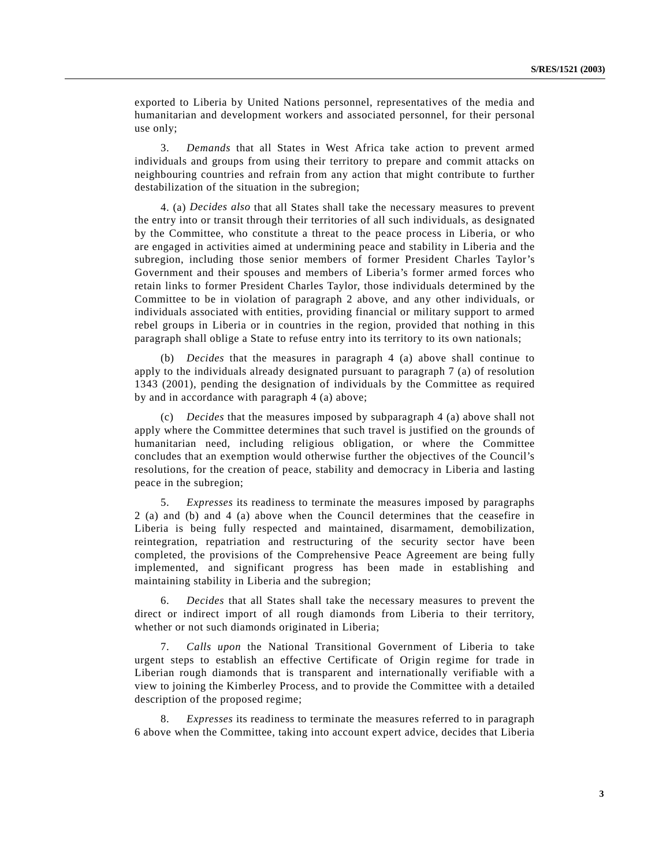exported to Liberia by United Nations personnel, representatives of the media and humanitarian and development workers and associated personnel, for their personal use only;

3. *Demands* that all States in West Africa take action to prevent armed individuals and groups from using their territory to prepare and commit attacks on neighbouring countries and refrain from any action that might contribute to further destabilization of the situation in the subregion;

4. (a) *Decides also* that all States shall take the necessary measures to prevent the entry into or transit through their territories of all such individuals, as designated by the Committee, who constitute a threat to the peace process in Liberia, or who are engaged in activities aimed at undermining peace and stability in Liberia and the subregion, including those senior members of former President Charles Taylor's Government and their spouses and members of Liberia's former armed forces who retain links to former President Charles Taylor, those individuals determined by the Committee to be in violation of paragraph 2 above, and any other individuals, or individuals associated with entities, providing financial or military support to armed rebel groups in Liberia or in countries in the region, provided that nothing in this paragraph shall oblige a State to refuse entry into its territory to its own nationals;

(b) *Decides* that the measures in paragraph 4 (a) above shall continue to apply to the individuals already designated pursuant to paragraph 7 (a) of resolution 1343 (2001), pending the designation of individuals by the Committee as required by and in accordance with paragraph 4 (a) above;

(c) *Decides* that the measures imposed by subparagraph 4 (a) above shall not apply where the Committee determines that such travel is justified on the grounds of humanitarian need, including religious obligation, or where the Committee concludes that an exemption would otherwise further the objectives of the Council's resolutions, for the creation of peace, stability and democracy in Liberia and lasting peace in the subregion;

5. *Expresses* its readiness to terminate the measures imposed by paragraphs 2 (a) and (b) and 4 (a) above when the Council determines that the ceasefire in Liberia is being fully respected and maintained, disarmament, demobilization, reintegration, repatriation and restructuring of the security sector have been completed, the provisions of the Comprehensive Peace Agreement are being fully implemented, and significant progress has been made in establishing and maintaining stability in Liberia and the subregion;

6. *Decides* that all States shall take the necessary measures to prevent the direct or indirect import of all rough diamonds from Liberia to their territory, whether or not such diamonds originated in Liberia;

7. *Calls upon* the National Transitional Government of Liberia to take urgent steps to establish an effective Certificate of Origin regime for trade in Liberian rough diamonds that is transparent and internationally verifiable with a view to joining the Kimberley Process, and to provide the Committee with a detailed description of the proposed regime;

Expresses its readiness to terminate the measures referred to in paragraph 6 above when the Committee, taking into account expert advice, decides that Liberia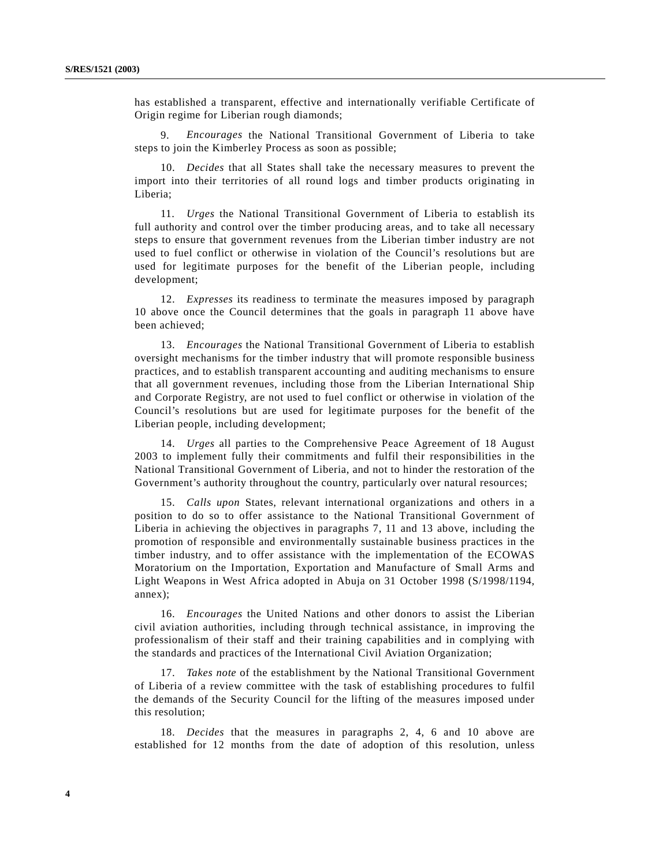has established a transparent, effective and internationally verifiable Certificate of Origin regime for Liberian rough diamonds;

9. *Encourages* the National Transitional Government of Liberia to take steps to join the Kimberley Process as soon as possible;

10. *Decides* that all States shall take the necessary measures to prevent the import into their territories of all round logs and timber products originating in Liberia;

11. *Urges* the National Transitional Government of Liberia to establish its full authority and control over the timber producing areas, and to take all necessary steps to ensure that government revenues from the Liberian timber industry are not used to fuel conflict or otherwise in violation of the Council's resolutions but are used for legitimate purposes for the benefit of the Liberian people, including development;

12. *Expresses* its readiness to terminate the measures imposed by paragraph 10 above once the Council determines that the goals in paragraph 11 above have been achieved;

13. *Encourages* the National Transitional Government of Liberia to establish oversight mechanisms for the timber industry that will promote responsible business practices, and to establish transparent accounting and auditing mechanisms to ensure that all government revenues, including those from the Liberian International Ship and Corporate Registry, are not used to fuel conflict or otherwise in violation of the Council's resolutions but are used for legitimate purposes for the benefit of the Liberian people, including development;

14. *Urges* all parties to the Comprehensive Peace Agreement of 18 August 2003 to implement fully their commitments and fulfil their responsibilities in the National Transitional Government of Liberia, and not to hinder the restoration of the Government's authority throughout the country, particularly over natural resources;

15. *Calls upon* States, relevant international organizations and others in a position to do so to offer assistance to the National Transitional Government of Liberia in achieving the objectives in paragraphs 7, 11 and 13 above, including the promotion of responsible and environmentally sustainable business practices in the timber industry, and to offer assistance with the implementation of the ECOWAS Moratorium on the Importation, Exportation and Manufacture of Small Arms and Light Weapons in West Africa adopted in Abuja on 31 October 1998 (S/1998/1194, annex);

16. *Encourages* the United Nations and other donors to assist the Liberian civil aviation authorities, including through technical assistance, in improving the professionalism of their staff and their training capabilities and in complying with the standards and practices of the International Civil Aviation Organization;

17. *Takes note* of the establishment by the National Transitional Government of Liberia of a review committee with the task of establishing procedures to fulfil the demands of the Security Council for the lifting of the measures imposed under this resolution;

18. *Decides* that the measures in paragraphs 2, 4, 6 and 10 above are established for 12 months from the date of adoption of this resolution, unless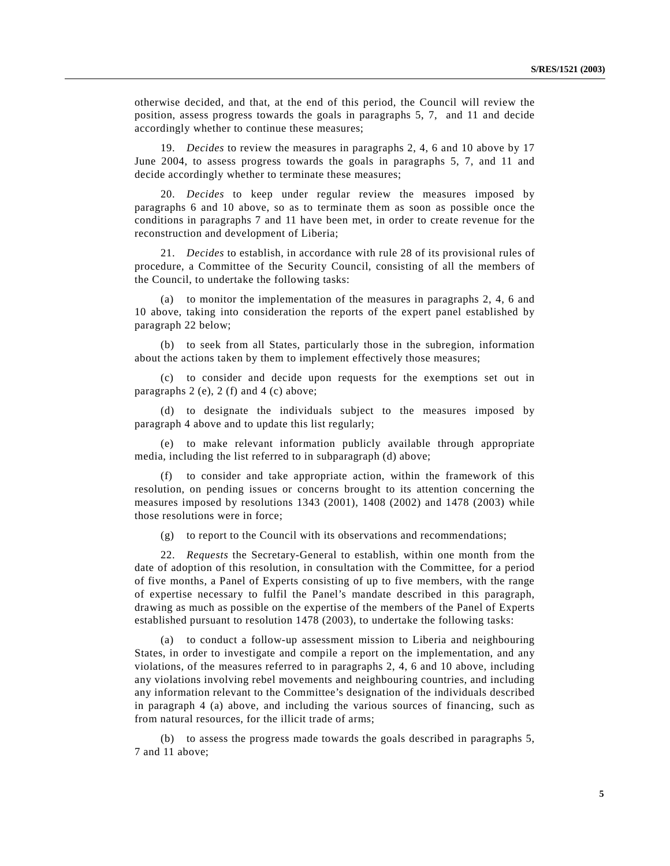otherwise decided, and that, at the end of this period, the Council will review the position, assess progress towards the goals in paragraphs 5, 7, and 11 and decide accordingly whether to continue these measures;

19. *Decides* to review the measures in paragraphs 2, 4, 6 and 10 above by 17 June 2004, to assess progress towards the goals in paragraphs 5, 7, and 11 and decide accordingly whether to terminate these measures;

20. *Decides* to keep under regular review the measures imposed by paragraphs 6 and 10 above, so as to terminate them as soon as possible once the conditions in paragraphs 7 and 11 have been met, in order to create revenue for the reconstruction and development of Liberia;

21. *Decides* to establish, in accordance with rule 28 of its provisional rules of procedure, a Committee of the Security Council, consisting of all the members of the Council, to undertake the following tasks:

(a) to monitor the implementation of the measures in paragraphs 2, 4, 6 and 10 above, taking into consideration the reports of the expert panel established by paragraph 22 below;

(b) to seek from all States, particularly those in the subregion, information about the actions taken by them to implement effectively those measures;

(c) to consider and decide upon requests for the exemptions set out in paragraphs 2 (e), 2 (f) and 4 (c) above;

(d) to designate the individuals subject to the measures imposed by paragraph 4 above and to update this list regularly;

(e) to make relevant information publicly available through appropriate media, including the list referred to in subparagraph (d) above;

(f) to consider and take appropriate action, within the framework of this resolution, on pending issues or concerns brought to its attention concerning the measures imposed by resolutions 1343 (2001), 1408 (2002) and 1478 (2003) while those resolutions were in force;

(g) to report to the Council with its observations and recommendations;

22. *Requests* the Secretary-General to establish, within one month from the date of adoption of this resolution, in consultation with the Committee, for a period of five months, a Panel of Experts consisting of up to five members, with the range of expertise necessary to fulfil the Panel's mandate described in this paragraph, drawing as much as possible on the expertise of the members of the Panel of Experts established pursuant to resolution 1478 (2003), to undertake the following tasks:

(a) to conduct a follow-up assessment mission to Liberia and neighbouring States, in order to investigate and compile a report on the implementation, and any violations, of the measures referred to in paragraphs 2, 4, 6 and 10 above, including any violations involving rebel movements and neighbouring countries, and including any information relevant to the Committee's designation of the individuals described in paragraph 4 (a) above, and including the various sources of financing, such as from natural resources, for the illicit trade of arms;

(b) to assess the progress made towards the goals described in paragraphs 5, 7 and 11 above;